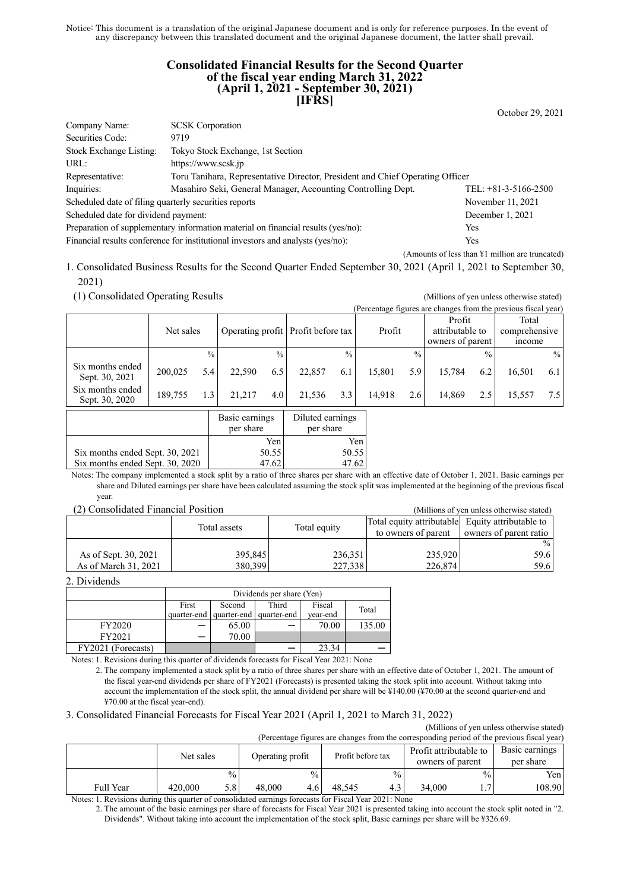Notice: This document is a translation of the original Japanese document and is only for reference purposes. In the event of any discrepancy between this translated document and the original Japanese document, the latter shall prevail.

### **Consolidated Financial Results for the Second Quarter of the fiscal year ending March 31, 2022 (April 1, 2021 - September 30, 2021) [IFRS]**

October 29, 2021

| Company Name:                                                                          | <b>SCSK</b> Corporation                                                                |  |  |  |  |
|----------------------------------------------------------------------------------------|----------------------------------------------------------------------------------------|--|--|--|--|
| Securities Code:                                                                       | 9719                                                                                   |  |  |  |  |
| Stock Exchange Listing:                                                                | Tokyo Stock Exchange, 1st Section                                                      |  |  |  |  |
| URL:                                                                                   | https://www.scsk.jp                                                                    |  |  |  |  |
| Representative:                                                                        | Toru Tanihara, Representative Director, President and Chief Operating Officer          |  |  |  |  |
| Inquiries:                                                                             | Masahiro Seki, General Manager, Accounting Controlling Dept.<br>TEL: $+81-3-5166-2500$ |  |  |  |  |
| Scheduled date of filing quarterly securities reports                                  | November 11, 2021                                                                      |  |  |  |  |
| Scheduled date for dividend payment:                                                   | December 1, 2021                                                                       |  |  |  |  |
| Preparation of supplementary information material on financial results (yes/no):       | Yes                                                                                    |  |  |  |  |
| Financial results conference for institutional investors and analysts (yes/no):<br>Yes |                                                                                        |  |  |  |  |

(Amounts of less than ¥1 million are truncated)

1. Consolidated Business Results for the Second Quarter Ended September 30, 2021 (April 1, 2021 to September 30, 2021)

(1) Consolidated Operating Results (Millions of yen unless otherwise stated)

|                                    |           |      |        |               |                                    |               |        |               | (Percentage figures are changes from the previous fiscal year) |               |                                         |      |
|------------------------------------|-----------|------|--------|---------------|------------------------------------|---------------|--------|---------------|----------------------------------------------------------------|---------------|-----------------------------------------|------|
|                                    | Net sales |      |        |               | Operating profit Profit before tax |               | Profit |               | Profit<br>attributable to<br>owners of parent                  |               | Total<br>comprehensive<br><i>n</i> come |      |
|                                    |           | $\%$ |        | $\frac{0}{0}$ |                                    | $\frac{0}{0}$ |        | $\frac{0}{0}$ |                                                                | $\frac{0}{0}$ |                                         | $\%$ |
| Six months ended<br>Sept. 30, 2021 | 200,025   | 5.4  | 22,590 | 6.5           | 22,857                             | 6.1           | 15.801 | 5.9           | 15.784                                                         | 6.2           | 16.501                                  | 6.1  |
| Six months ended<br>Sept. 30, 2020 | 189,755   | 1.3  | 21.217 | 4.0           | 21,536                             | 3.3           | 14,918 | 2.6           | 14,869                                                         | 2.5           | 15,557                                  | 7.5  |
|                                    |           |      |        |               |                                    |               |        |               |                                                                |               |                                         |      |

|                                 | Basic earnings<br>per share | Diluted earnings<br>per share |
|---------------------------------|-----------------------------|-------------------------------|
|                                 | Yen                         | Yen                           |
| Six months ended Sept. 30, 2021 | 50.55                       | 50.55                         |
| Six months ended Sept. 30, 2020 |                             |                               |

Notes: The company implemented a stock split by a ratio of three shares per share with an effective date of October 1, 2021. Basic earnings per share and Diluted earnings per share have been calculated assuming the stock split was implemented at the beginning of the previous fiscal year.

#### (2) Consolidated Financial Position (Millions of yen unless otherwise stated)

| (2) Consondated I mancial I osition |                              |         | (MILITORIS OF VEH UNIESS OUTERWISE STATED)       |                        |
|-------------------------------------|------------------------------|---------|--------------------------------------------------|------------------------|
|                                     | Total equity<br>Total assets |         | Total equity attributable Equity attributable to |                        |
|                                     |                              |         | to owners of parent                              | owners of parent ratio |
|                                     |                              |         |                                                  | $\%$                   |
| As of Sept. 30, 2021                | 395,845                      | 236,351 | 235,920                                          | 59.6                   |
| As of March 31, 2021                | 380,399                      | 227,338 | 226,874                                          | 59.6                   |

2. Dividends

|                    | Dividends per share (Yen) |                                     |       |          |        |  |
|--------------------|---------------------------|-------------------------------------|-------|----------|--------|--|
|                    | First                     | Fiscal                              | Total |          |        |  |
|                    |                           | quarter-end quarter-end quarter-end |       | vear-end |        |  |
| FY2020             |                           | 65.00                               |       | 70.00    | 135.00 |  |
| FY2021             |                           | 70.00                               |       |          |        |  |
| FY2021 (Forecasts) |                           |                                     |       | 23.34    |        |  |

Notes: 1. Revisions during this quarter of dividends forecasts for Fiscal Year 2021: None

### 3. Consolidated Financial Forecasts for Fiscal Year 2021 (April 1, 2021 to March 31, 2022)

(Millions of yen unless otherwise stated)  $\epsilon$  are changed at the previous fiscal year.

| (Percentage ligures are changes from the corresponding period of the previous fiscal year) |           |               |                  |               |                   |               |                                            |               |        |                             |
|--------------------------------------------------------------------------------------------|-----------|---------------|------------------|---------------|-------------------|---------------|--------------------------------------------|---------------|--------|-----------------------------|
|                                                                                            | Net sales |               | Operating profit |               | Profit before tax |               | Profit attributable to<br>owners of parent |               |        | Basic earnings<br>per share |
|                                                                                            |           | $\frac{0}{0}$ |                  | $\frac{0}{0}$ |                   | $\frac{0}{0}$ |                                            | $\frac{0}{0}$ | Yen    |                             |
| Full Year                                                                                  | 420,000   | 5.8           | 48,000           |               | 48.545            | 4.3           | 34.000                                     |               | 108.90 |                             |

Notes: 1. Revisions during this quarter of consolidated earnings forecasts for Fiscal Year 2021: None

2. The amount of the basic earnings per share of forecasts for Fiscal Year 2021 is presented taking into account the stock split noted in "2. Dividends". Without taking into account the implementation of the stock split, Basic earnings per share will be ¥326.69.

<sup>2.</sup> The company implemented a stock split by a ratio of three shares per share with an effective date of October 1, 2021. The amount of the fiscal year-end dividends per share of FY2021 (Forecasts) is presented taking the stock split into account. Without taking into account the implementation of the stock split, the annual dividend per share will be ¥140.00 (¥70.00 at the second quarter-end and ¥70.00 at the fiscal year-end).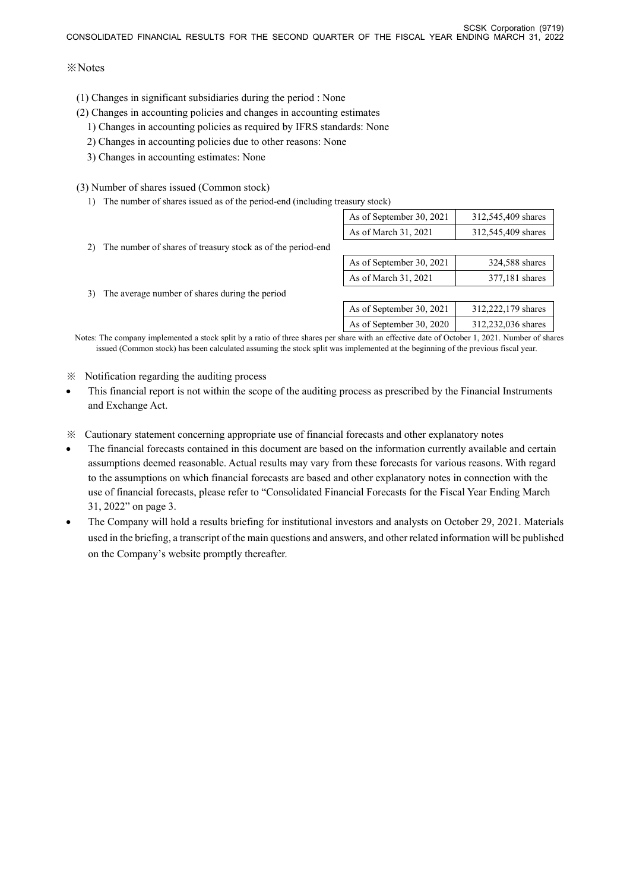## ※Notes

- (1) Changes in significant subsidiaries during the period : None
- (2) Changes in accounting policies and changes in accounting estimates
	- 1) Changes in accounting policies as required by IFRS standards: None
	- 2) Changes in accounting policies due to other reasons: None
	- 3) Changes in accounting estimates: None

## (3) Number of shares issued (Common stock)

1) The number of shares issued as of the period-end (including treasury stock)

|                                                                                                                                          | As of September 30, 2021 | 312,545,409 shares |
|------------------------------------------------------------------------------------------------------------------------------------------|--------------------------|--------------------|
|                                                                                                                                          | As of March 31, 2021     | 312,545,409 shares |
| 2) The number of shares of treasury stock as of the period-end                                                                           |                          |                    |
|                                                                                                                                          | As of September 30, 2021 | 324,588 shares     |
|                                                                                                                                          | As of March 31, 2021     | 377,181 shares     |
| 3) The average number of shares during the period                                                                                        |                          |                    |
|                                                                                                                                          | As of September 30, 2021 | 312,222,179 shares |
|                                                                                                                                          | As of September 30, 2020 | 312,232,036 shares |
| es: The company implemented a stock split by a ratio of three shares per share with an effective date of October 1, 2021. Number of shai |                          |                    |

Notes: The company implemented a stock split by a ratio of three shares per share with an effective date of October 1, 2021. Number of shares issued (Common stock) has been calculated assuming the stock split was implemented at the beginning of the previous fiscal year.

## ※ Notification regarding the auditing process

- This financial report is not within the scope of the auditing process as prescribed by the Financial Instruments and Exchange Act.
- ※ Cautionary statement concerning appropriate use of financial forecasts and other explanatory notes
- The financial forecasts contained in this document are based on the information currently available and certain assumptions deemed reasonable. Actual results may vary from these forecasts for various reasons. With regard to the assumptions on which financial forecasts are based and other explanatory notes in connection with the use of financial forecasts, please refer to "Consolidated Financial Forecasts for the Fiscal Year Ending March 31, 2022" on page 3.
- The Company will hold a results briefing for institutional investors and analysts on October 29, 2021. Materials used in the briefing, a transcript of the main questions and answers, and other related information will be published on the Company's website promptly thereafter.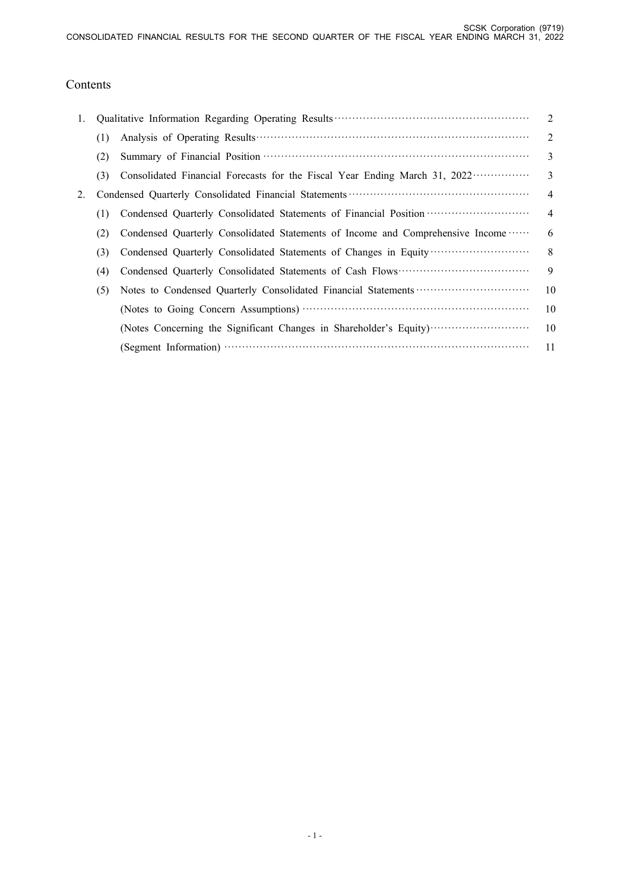# Contents

| 1. |     |                                                                                            | 2              |
|----|-----|--------------------------------------------------------------------------------------------|----------------|
|    | (1) |                                                                                            | 2              |
|    | (2) |                                                                                            | 3              |
|    | (3) | Consolidated Financial Forecasts for the Fiscal Year Ending March 31, 2022 ··············· | $\mathcal{E}$  |
| 2. |     |                                                                                            | $\overline{4}$ |
|    | (1) | Condensed Quarterly Consolidated Statements of Financial Position                          | $\overline{4}$ |
|    | (2) | Condensed Quarterly Consolidated Statements of Income and Comprehensive Income             | 6              |
|    | (3) | Condensed Quarterly Consolidated Statements of Changes in Equity                           | 8              |
|    | (4) |                                                                                            | 9              |
|    | (5) |                                                                                            | 10             |
|    |     |                                                                                            | 10             |
|    |     | (Notes Concerning the Significant Changes in Shareholder's Equity)                         | 10             |
|    |     |                                                                                            | 11             |
|    |     |                                                                                            |                |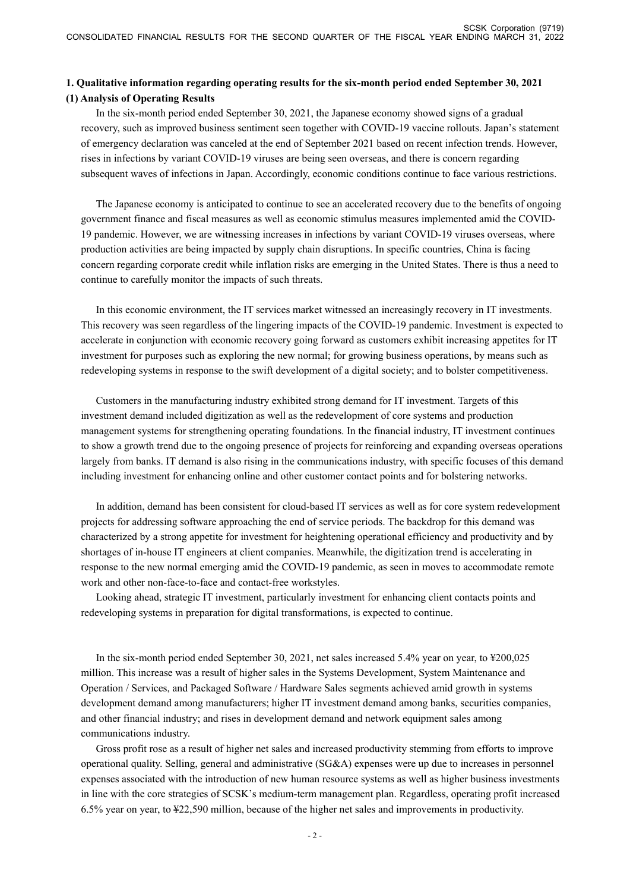## **1. Qualitative information regarding operating results for the six-month period ended September 30, 2021 (1) Analysis of Operating Results**

In the six-month period ended September 30, 2021, the Japanese economy showed signs of a gradual recovery, such as improved business sentiment seen together with COVID-19 vaccine rollouts. Japan's statement of emergency declaration was canceled at the end of September 2021 based on recent infection trends. However, rises in infections by variant COVID-19 viruses are being seen overseas, and there is concern regarding subsequent waves of infections in Japan. Accordingly, economic conditions continue to face various restrictions.

The Japanese economy is anticipated to continue to see an accelerated recovery due to the benefits of ongoing government finance and fiscal measures as well as economic stimulus measures implemented amid the COVID-19 pandemic. However, we are witnessing increases in infections by variant COVID-19 viruses overseas, where production activities are being impacted by supply chain disruptions. In specific countries, China is facing concern regarding corporate credit while inflation risks are emerging in the United States. There is thus a need to continue to carefully monitor the impacts of such threats.

In this economic environment, the IT services market witnessed an increasingly recovery in IT investments. This recovery was seen regardless of the lingering impacts of the COVID-19 pandemic. Investment is expected to accelerate in conjunction with economic recovery going forward as customers exhibit increasing appetites for IT investment for purposes such as exploring the new normal; for growing business operations, by means such as redeveloping systems in response to the swift development of a digital society; and to bolster competitiveness.

Customers in the manufacturing industry exhibited strong demand for IT investment. Targets of this investment demand included digitization as well as the redevelopment of core systems and production management systems for strengthening operating foundations. In the financial industry, IT investment continues to show a growth trend due to the ongoing presence of projects for reinforcing and expanding overseas operations largely from banks. IT demand is also rising in the communications industry, with specific focuses of this demand including investment for enhancing online and other customer contact points and for bolstering networks.

In addition, demand has been consistent for cloud-based IT services as well as for core system redevelopment projects for addressing software approaching the end of service periods. The backdrop for this demand was characterized by a strong appetite for investment for heightening operational efficiency and productivity and by shortages of in-house IT engineers at client companies. Meanwhile, the digitization trend is accelerating in response to the new normal emerging amid the COVID-19 pandemic, as seen in moves to accommodate remote work and other non-face-to-face and contact-free workstyles.

Looking ahead, strategic IT investment, particularly investment for enhancing client contacts points and redeveloping systems in preparation for digital transformations, is expected to continue.

In the six-month period ended September 30, 2021, net sales increased 5.4% year on year, to ¥200,025 million. This increase was a result of higher sales in the Systems Development, System Maintenance and Operation / Services, and Packaged Software / Hardware Sales segments achieved amid growth in systems development demand among manufacturers; higher IT investment demand among banks, securities companies, and other financial industry; and rises in development demand and network equipment sales among communications industry.

Gross profit rose as a result of higher net sales and increased productivity stemming from efforts to improve operational quality. Selling, general and administrative (SG&A) expenses were up due to increases in personnel expenses associated with the introduction of new human resource systems as well as higher business investments in line with the core strategies of SCSK's medium-term management plan. Regardless, operating profit increased 6.5% year on year, to ¥22,590 million, because of the higher net sales and improvements in productivity.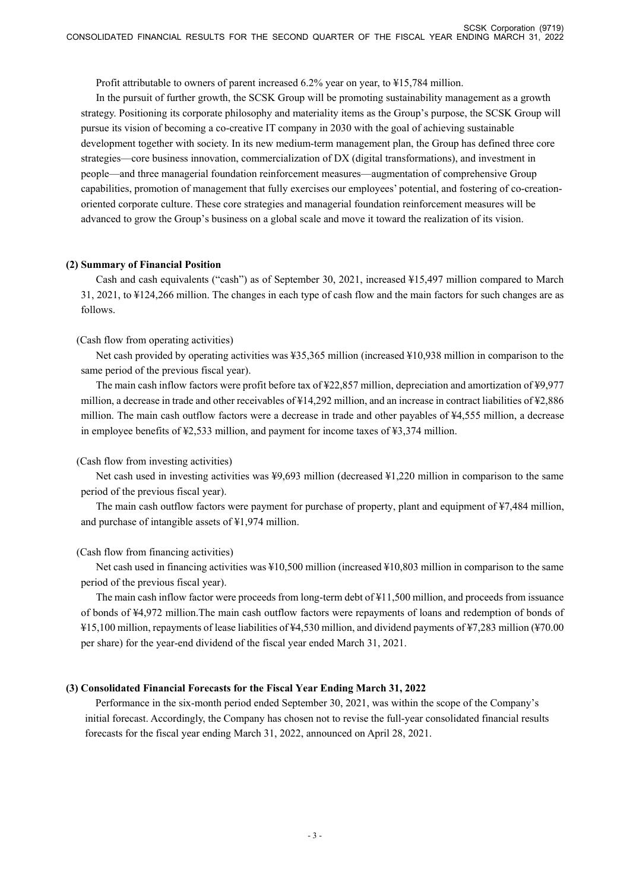Profit attributable to owners of parent increased 6.2% year on year, to ¥15,784 million.

In the pursuit of further growth, the SCSK Group will be promoting sustainability management as a growth strategy. Positioning its corporate philosophy and materiality items as the Group's purpose, the SCSK Group will pursue its vision of becoming a co-creative IT company in 2030 with the goal of achieving sustainable development together with society. In its new medium-term management plan, the Group has defined three core strategies—core business innovation, commercialization of DX (digital transformations), and investment in people—and three managerial foundation reinforcement measures—augmentation of comprehensive Group capabilities, promotion of management that fully exercises our employees' potential, and fostering of co-creationoriented corporate culture. These core strategies and managerial foundation reinforcement measures will be advanced to grow the Group's business on a global scale and move it toward the realization of its vision.

### **(2) Summary of Financial Position**

Cash and cash equivalents ("cash") as of September 30, 2021, increased ¥15,497 million compared to March 31, 2021, to ¥124,266 million. The changes in each type of cash flow and the main factors for such changes are as follows.

### (Cash flow from operating activities)

Net cash provided by operating activities was ¥35,365 million (increased ¥10,938 million in comparison to the same period of the previous fiscal year).

The main cash inflow factors were profit before tax of ¥22,857 million, depreciation and amortization of ¥9,977 million, a decrease in trade and other receivables of ¥14,292 million, and an increase in contract liabilities of ¥2,886 million. The main cash outflow factors were a decrease in trade and other payables of ¥4,555 million, a decrease in employee benefits of ¥2,533 million, and payment for income taxes of ¥3,374 million.

### (Cash flow from investing activities)

Net cash used in investing activities was ¥9,693 million (decreased ¥1,220 million in comparison to the same period of the previous fiscal year).

The main cash outflow factors were payment for purchase of property, plant and equipment of ¥7,484 million, and purchase of intangible assets of ¥1,974 million.

### (Cash flow from financing activities)

Net cash used in financing activities was ¥10,500 million (increased ¥10,803 million in comparison to the same period of the previous fiscal year).

The main cash inflow factor were proceeds from long-term debt of ¥11,500 million, and proceeds from issuance of bonds of ¥4,972 million.The main cash outflow factors were repayments of loans and redemption of bonds of ¥15,100 million, repayments of lease liabilities of ¥4,530 million, and dividend payments of ¥7,283 million (¥70.00 per share) for the year-end dividend of the fiscal year ended March 31, 2021.

### **(3) Consolidated Financial Forecasts for the Fiscal Year Ending March 31, 2022**

Performance in the six-month period ended September 30, 2021, was within the scope of the Company's initial forecast. Accordingly, the Company has chosen not to revise the full-year consolidated financial results forecasts for the fiscal year ending March 31, 2022, announced on April 28, 2021.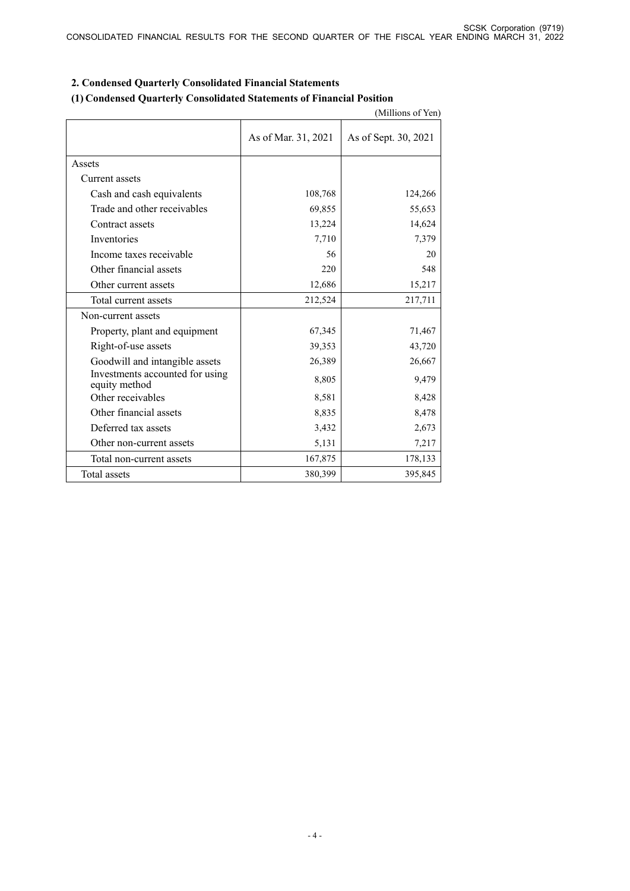|                                                  |                     | (Millions of Yen)    |
|--------------------------------------------------|---------------------|----------------------|
|                                                  | As of Mar. 31, 2021 | As of Sept. 30, 2021 |
| Assets                                           |                     |                      |
| Current assets                                   |                     |                      |
| Cash and cash equivalents                        | 108,768             | 124,266              |
| Trade and other receivables                      | 69,855              | 55,653               |
| Contract assets                                  | 13,224              | 14,624               |
| Inventories                                      | 7,710               | 7,379                |
| Income taxes receivable                          | 56                  | 20                   |
| Other financial assets                           | 220                 | 548                  |
| Other current assets                             | 12,686              | 15,217               |
| Total current assets                             | 212,524             | 217,711              |
| Non-current assets                               |                     |                      |
| Property, plant and equipment                    | 67,345              | 71,467               |
| Right-of-use assets                              | 39,353              | 43,720               |
| Goodwill and intangible assets                   | 26,389              | 26,667               |
| Investments accounted for using<br>equity method | 8,805               | 9,479                |
| Other receivables                                | 8,581               | 8,428                |
| Other financial assets                           | 8,835               | 8,478                |
| Deferred tax assets                              | 3,432               | 2,673                |
| Other non-current assets                         | 5,131               | 7,217                |
| Total non-current assets                         | 167,875             | 178,133              |
| Total assets                                     | 380,399             | 395,845              |

## **2. Condensed Quarterly Consolidated Financial Statements**

## **(1) Condensed Quarterly Consolidated Statements of Financial Position**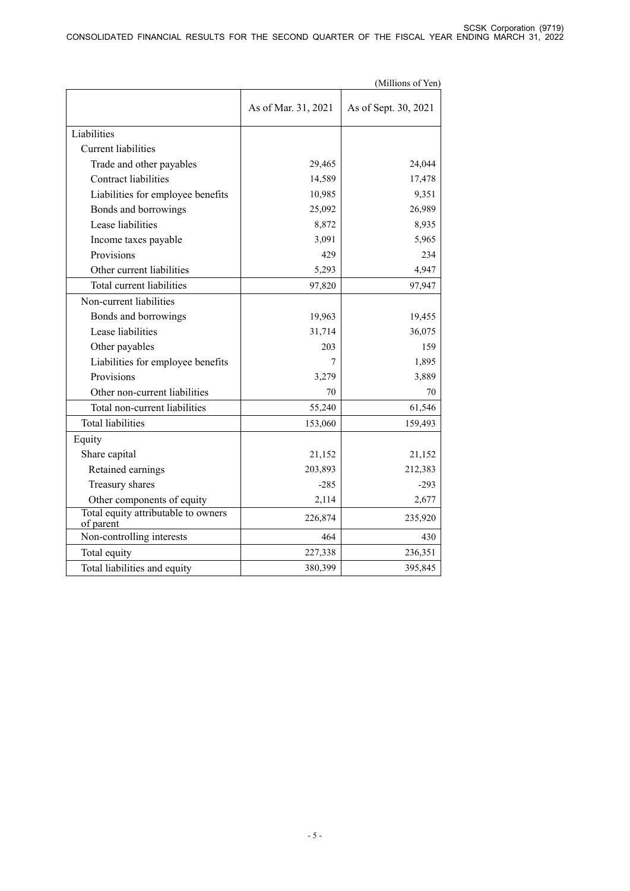|                                                  |                     | (Millions of Yen)    |
|--------------------------------------------------|---------------------|----------------------|
|                                                  | As of Mar. 31, 2021 | As of Sept. 30, 2021 |
| Liabilities                                      |                     |                      |
| <b>Current liabilities</b>                       |                     |                      |
| Trade and other payables                         | 29,465              | 24,044               |
| <b>Contract liabilities</b>                      | 14,589              | 17,478               |
| Liabilities for employee benefits                | 10,985              | 9,351                |
| Bonds and borrowings                             | 25,092              | 26,989               |
| Lease liabilities                                | 8,872               | 8,935                |
| Income taxes payable                             | 3,091               | 5,965                |
| Provisions                                       | 429                 | 234                  |
| Other current liabilities                        | 5,293               | 4,947                |
| Total current liabilities                        | 97,820              | 97,947               |
| Non-current liabilities                          |                     |                      |
| Bonds and borrowings                             | 19,963              | 19,455               |
| Lease liabilities                                | 31,714              | 36,075               |
| Other payables                                   | 203                 | 159                  |
| Liabilities for employee benefits                | 7                   | 1,895                |
| Provisions                                       | 3,279               | 3,889                |
| Other non-current liabilities                    | 70                  | 70                   |
| Total non-current liabilities                    | 55,240              | 61,546               |
| <b>Total liabilities</b>                         | 153,060             | 159,493              |
| Equity                                           |                     |                      |
| Share capital                                    | 21,152              | 21,152               |
| Retained earnings                                | 203,893             | 212,383              |
| Treasury shares                                  | $-285$              | $-293$               |
| Other components of equity                       | 2,114               | 2,677                |
| Total equity attributable to owners<br>of parent | 226,874             | 235,920              |
| Non-controlling interests                        | 464                 | 430                  |
| Total equity                                     | 227,338             | 236,351              |
| Total liabilities and equity                     | 380,399             | 395,845              |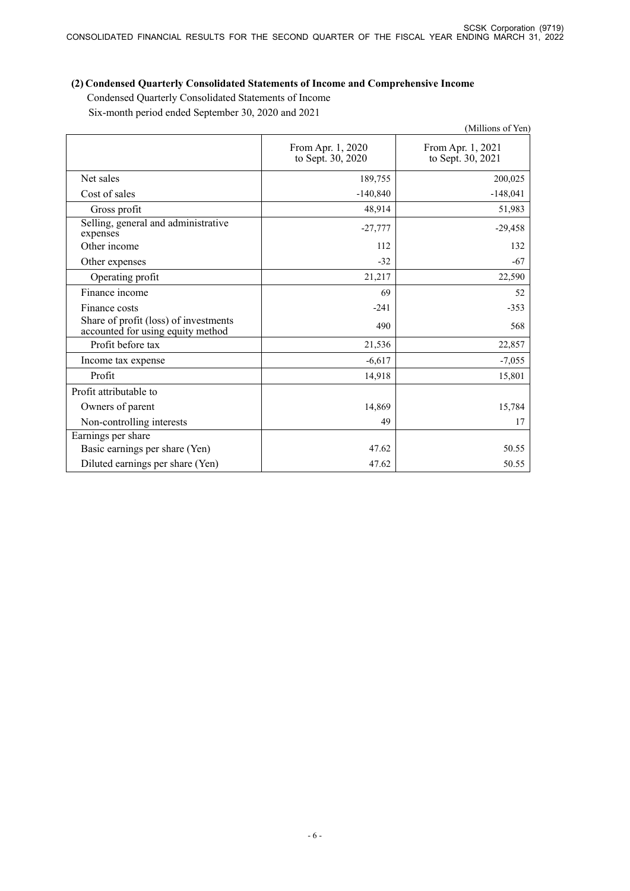# **(2) Condensed Quarterly Consolidated Statements of Income and Comprehensive Income**

Condensed Quarterly Consolidated Statements of Income Six-month period ended September 30, 2020 and 2021

|                                                                            |                                        | (Millions of Yen)                      |
|----------------------------------------------------------------------------|----------------------------------------|----------------------------------------|
|                                                                            | From Apr. 1, 2020<br>to Sept. 30, 2020 | From Apr. 1, 2021<br>to Sept. 30, 2021 |
| Net sales                                                                  | 189,755                                | 200,025                                |
| Cost of sales                                                              | $-140,840$                             | $-148,041$                             |
| Gross profit                                                               | 48,914                                 | 51,983                                 |
| Selling, general and administrative<br>expenses                            | $-27,777$                              | $-29,458$                              |
| Other income                                                               | 112                                    | 132                                    |
| Other expenses                                                             | $-32$                                  | $-67$                                  |
| Operating profit                                                           | 21,217                                 | 22,590                                 |
| Finance income                                                             | 69                                     | 52                                     |
| Finance costs                                                              | $-241$                                 | $-353$                                 |
| Share of profit (loss) of investments<br>accounted for using equity method | 490                                    | 568                                    |
| Profit before tax                                                          | 21,536                                 | 22,857                                 |
| Income tax expense                                                         | $-6,617$                               | $-7,055$                               |
| Profit                                                                     | 14,918                                 | 15,801                                 |
| Profit attributable to                                                     |                                        |                                        |
| Owners of parent                                                           | 14,869                                 | 15,784                                 |
| Non-controlling interests                                                  | 49                                     | 17                                     |
| Earnings per share                                                         |                                        |                                        |
| Basic earnings per share (Yen)                                             | 47.62                                  | 50.55                                  |
| Diluted earnings per share (Yen)                                           | 47.62                                  | 50.55                                  |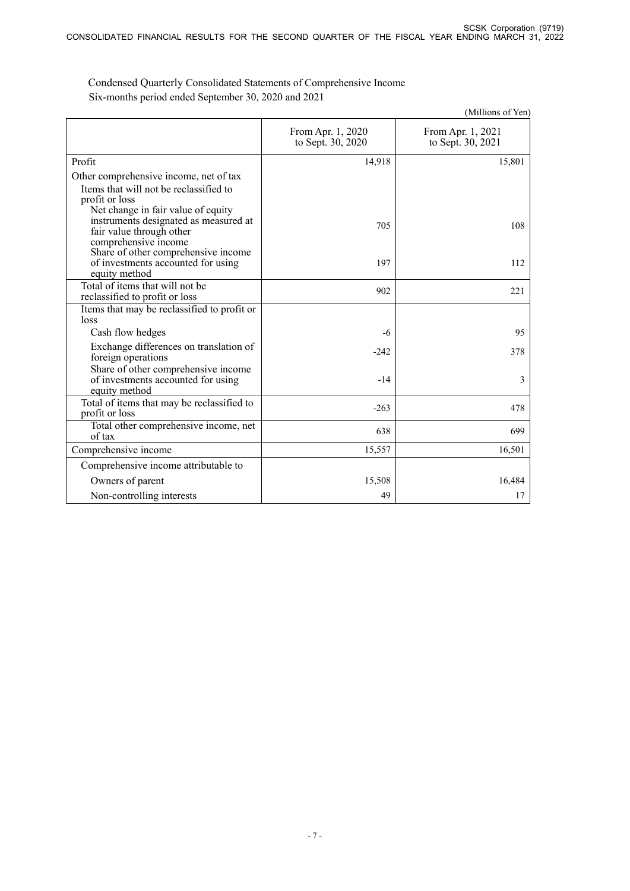|                                                                                                                                 |                                        | (Millions of Yen)                      |
|---------------------------------------------------------------------------------------------------------------------------------|----------------------------------------|----------------------------------------|
|                                                                                                                                 | From Apr. 1, 2020<br>to Sept. 30, 2020 | From Apr. 1, 2021<br>to Sept. 30, 2021 |
| Profit                                                                                                                          | 14,918                                 | 15,801                                 |
| Other comprehensive income, net of tax<br>Items that will not be reclassified to<br>profit or loss                              |                                        |                                        |
| Net change in fair value of equity<br>instruments designated as measured at<br>fair value through other<br>comprehensive income | 705                                    | 108                                    |
| Share of other comprehensive income<br>of investments accounted for using<br>equity method                                      | 197                                    | 112                                    |
| Total of items that will not be<br>reclassified to profit or loss                                                               | 902                                    | 221                                    |
| Items that may be reclassified to profit or<br>loss                                                                             |                                        |                                        |
| Cash flow hedges                                                                                                                | -6                                     | 95                                     |
| Exchange differences on translation of<br>foreign operations                                                                    | $-242$                                 | 378                                    |
| Share of other comprehensive income<br>of investments accounted for using<br>equity method                                      | $-14$                                  | 3                                      |
| Total of items that may be reclassified to<br>profit or loss                                                                    | $-263$                                 | 478                                    |
| Total other comprehensive income, net<br>of tax                                                                                 | 638                                    | 699                                    |
| Comprehensive income                                                                                                            | 15,557                                 | 16,501                                 |
| Comprehensive income attributable to                                                                                            |                                        |                                        |
| Owners of parent                                                                                                                | 15,508                                 | 16,484                                 |
| Non-controlling interests                                                                                                       | 49                                     | 17                                     |

 Condensed Quarterly Consolidated Statements of Comprehensive Income Six-months period ended September 30, 2020 and 2021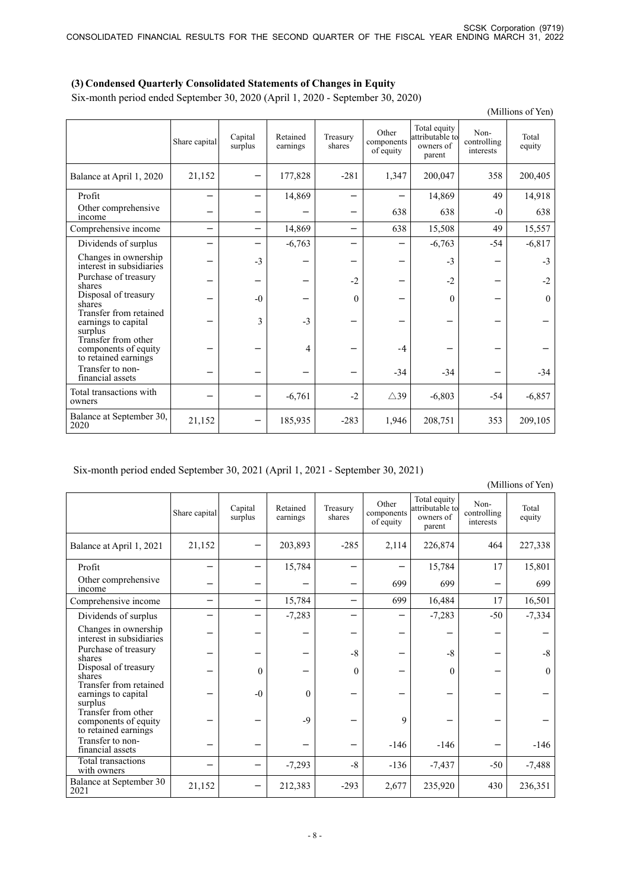## **(3) Condensed Quarterly Consolidated Statements of Changes in Equity**

Six-month period ended September 30, 2020 (April 1, 2020 - September 30, 2020)

|                                                                     | (Millions of Yen) |                    |                      |                    |                                  |                                                        |                                  |                 |
|---------------------------------------------------------------------|-------------------|--------------------|----------------------|--------------------|----------------------------------|--------------------------------------------------------|----------------------------------|-----------------|
|                                                                     | Share capital     | Capital<br>surplus | Retained<br>earnings | Treasury<br>shares | Other<br>components<br>of equity | Total equity<br>attributable to<br>owners of<br>parent | Non-<br>controlling<br>interests | Total<br>equity |
| Balance at April 1, 2020                                            | 21,152            |                    | 177,828              | $-281$             | 1,347                            | 200,047                                                | 358                              | 200,405         |
| Profit                                                              |                   |                    | 14,869               |                    |                                  | 14,869                                                 | 49                               | 14,918          |
| Other comprehensive<br>income                                       |                   |                    |                      |                    | 638                              | 638                                                    | $-0$                             | 638             |
| Comprehensive income                                                | -                 |                    | 14,869               | —                  | 638                              | 15,508                                                 | 49                               | 15,557          |
| Dividends of surplus                                                |                   |                    | $-6,763$             |                    |                                  | $-6,763$                                               | $-54$                            | $-6,817$        |
| Changes in ownership<br>interest in subsidiaries                    |                   | $-3$               |                      | -                  |                                  | $-3$                                                   |                                  | $-3$            |
| Purchase of treasury<br>shares                                      |                   |                    |                      | $-2$               |                                  | $-2$                                                   |                                  | $-2$            |
| Disposal of treasury<br>shares                                      |                   | $-0$               |                      | $\mathbf{0}$       |                                  | $\theta$                                               |                                  | $\mathbf{0}$    |
| Transfer from retained<br>earnings to capital<br>surplus            |                   | $\mathbf{3}$       | $-3$                 |                    |                                  |                                                        |                                  |                 |
| Transfer from other<br>components of equity<br>to retained earnings |                   |                    | 4                    |                    | $-4$                             |                                                        |                                  |                 |
| Transfer to non-<br>financial assets                                |                   |                    |                      |                    | $-34$                            | $-34$                                                  |                                  | $-34$           |
| Total transactions with<br>owners                                   |                   |                    | $-6,761$             | $-2$               | $\triangle 39$                   | $-6,803$                                               | $-54$                            | $-6,857$        |
| Balance at September 30,<br>2020                                    | 21,152            |                    | 185,935              | $-283$             | 1,946                            | 208,751                                                | 353                              | 209,105         |

## Six-month period ended September 30, 2021 (April 1, 2021 - September 30, 2021)

(Millions of Yen)

|                                                                     | Share capital | Capital<br>surplus | Retained<br>earnings | Treasury<br>shares | Other<br>components<br>of equity | Total equity<br>attributable to<br>owners of<br>parent | Non-<br>controlling<br>interests | Total<br>equity |
|---------------------------------------------------------------------|---------------|--------------------|----------------------|--------------------|----------------------------------|--------------------------------------------------------|----------------------------------|-----------------|
| Balance at April 1, 2021                                            | 21,152        |                    | 203,893              | $-285$             | 2,114                            | 226,874                                                | 464                              | 227,338         |
| Profit                                                              |               |                    | 15,784               |                    |                                  | 15,784                                                 | 17                               | 15,801          |
| Other comprehensive<br>income                                       |               |                    |                      |                    | 699                              | 699                                                    |                                  | 699             |
| Comprehensive income                                                | —             |                    | 15,784               | —                  | 699                              | 16,484                                                 | 17                               | 16,501          |
| Dividends of surplus                                                |               |                    | $-7,283$             |                    |                                  | $-7,283$                                               | $-50$                            | $-7,334$        |
| Changes in ownership<br>interest in subsidiaries                    |               |                    |                      |                    |                                  |                                                        |                                  |                 |
| Purchase of treasury<br>shares                                      |               |                    |                      | $-8$               |                                  | $-8$                                                   |                                  | $-8$            |
| Disposal of treasury<br>shares                                      |               | $\theta$           |                      | $\mathbf{0}$       |                                  | $\Omega$                                               |                                  | $\theta$        |
| Transfer from retained<br>earnings to capital<br>surplus            |               | $-0$               | $\theta$             |                    |                                  |                                                        |                                  |                 |
| Transfer from other<br>components of equity<br>to retained earnings |               |                    | $-9$                 |                    | 9                                |                                                        |                                  |                 |
| Transfer to non-<br>financial assets                                |               |                    |                      |                    | $-146$                           | $-146$                                                 |                                  | $-146$          |
| Total transactions<br>with owners                                   |               |                    | $-7,293$             | $-8$               | $-136$                           | $-7,437$                                               | $-50$                            | $-7,488$        |
| <b>Balance at September 30</b><br>2021                              | 21,152        |                    | 212,383              | $-293$             | 2,677                            | 235,920                                                | 430                              | 236,351         |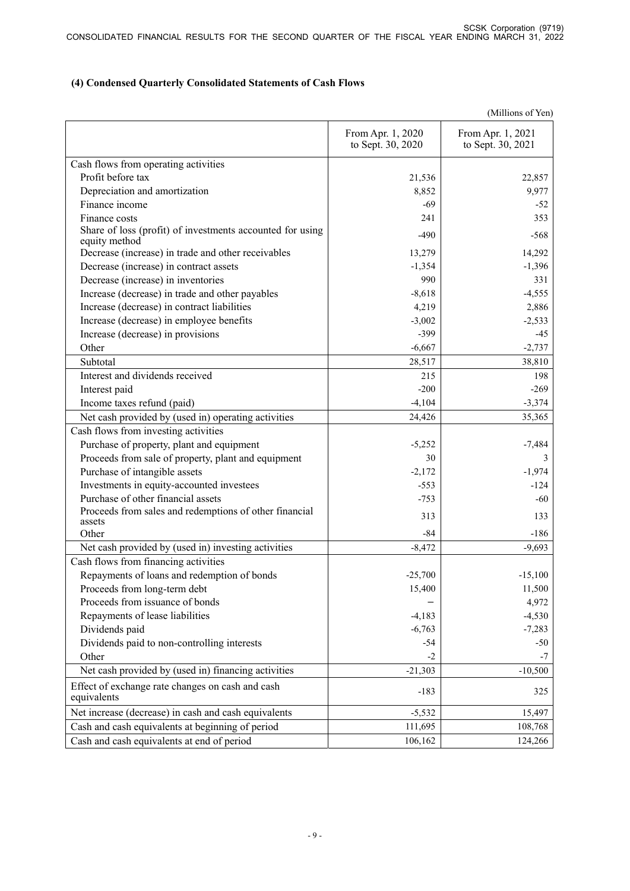## **(4) Condensed Quarterly Consolidated Statements of Cash Flows**

(Millions of Yen)

|                                                                            | From Apr. 1, 2020<br>to Sept. 30, 2020 | From Apr. 1, 2021<br>to Sept. 30, 2021 |
|----------------------------------------------------------------------------|----------------------------------------|----------------------------------------|
| Cash flows from operating activities                                       |                                        |                                        |
| Profit before tax                                                          | 21,536                                 | 22,857                                 |
| Depreciation and amortization                                              | 8,852                                  | 9,977                                  |
| Finance income                                                             | -69                                    | $-52$                                  |
| Finance costs                                                              | 241                                    | 353                                    |
| Share of loss (profit) of investments accounted for using<br>equity method | $-490$                                 | $-568$                                 |
| Decrease (increase) in trade and other receivables                         | 13,279                                 | 14,292                                 |
| Decrease (increase) in contract assets                                     | $-1,354$                               | $-1,396$                               |
| Decrease (increase) in inventories                                         | 990                                    | 331                                    |
| Increase (decrease) in trade and other payables                            | $-8,618$                               | $-4,555$                               |
| Increase (decrease) in contract liabilities                                | 4,219                                  | 2,886                                  |
| Increase (decrease) in employee benefits                                   | $-3,002$                               | $-2,533$                               |
| Increase (decrease) in provisions                                          | $-399$                                 | $-45$                                  |
| Other                                                                      | $-6,667$                               | $-2,737$                               |
| Subtotal                                                                   | 28,517                                 | 38,810                                 |
| Interest and dividends received                                            | 215                                    | 198                                    |
| Interest paid                                                              | $-200$                                 | $-269$                                 |
| Income taxes refund (paid)                                                 | $-4,104$                               | $-3,374$                               |
| Net cash provided by (used in) operating activities                        | 24,426                                 | 35,365                                 |
| Cash flows from investing activities                                       |                                        |                                        |
| Purchase of property, plant and equipment                                  | $-5,252$                               | $-7,484$                               |
| Proceeds from sale of property, plant and equipment                        | 30                                     | 3                                      |
| Purchase of intangible assets                                              | $-2,172$                               | $-1,974$                               |
| Investments in equity-accounted investees                                  | $-553$                                 | $-124$                                 |
| Purchase of other financial assets                                         | $-753$                                 | -60                                    |
| Proceeds from sales and redemptions of other financial<br>assets           | 313                                    | 133                                    |
| Other                                                                      | -84                                    | $-186$                                 |
| Net cash provided by (used in) investing activities                        | $-8,472$                               | $-9,693$                               |
| Cash flows from financing activities                                       |                                        |                                        |
| Repayments of loans and redemption of bonds                                | $-25,700$                              | $-15,100$                              |
| Proceeds from long-term debt                                               | 15,400                                 | 11,500                                 |
| Proceeds from issuance of bonds                                            |                                        | 4,972                                  |
| Repayments of lease liabilities                                            | $-4,183$                               | $-4,530$                               |
| Dividends paid                                                             | $-6,763$                               | $-7,283$                               |
| Dividends paid to non-controlling interests                                | $-54$                                  | $-50$                                  |
| Other                                                                      | $-2$                                   | -7                                     |
| Net cash provided by (used in) financing activities                        | $-21,303$                              | $-10,500$                              |
| Effect of exchange rate changes on cash and cash<br>equivalents            | $-183$                                 | 325                                    |
| Net increase (decrease) in cash and cash equivalents                       | $-5,532$                               | 15,497                                 |
| Cash and cash equivalents at beginning of period                           | 111,695                                | 108,768                                |
| Cash and cash equivalents at end of period                                 | 106,162                                | 124,266                                |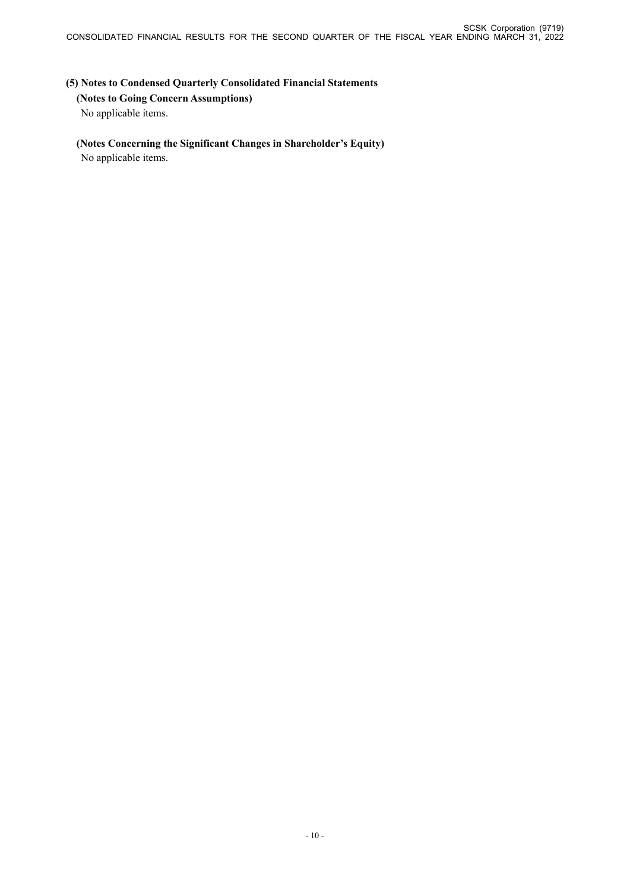# **(5) Notes to Condensed Quarterly Consolidated Financial Statements (Notes to Going Concern Assumptions)** No applicable items.

# **(Notes Concerning the Significant Changes in Shareholder's Equity)**

No applicable items.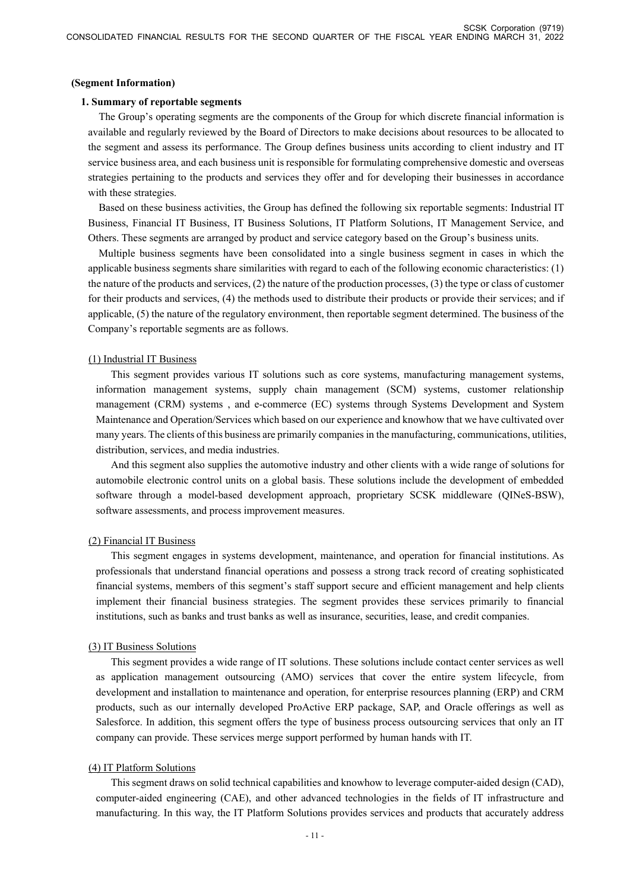#### **(Segment Information)**

### **1. Summary of reportable segments**

The Group's operating segments are the components of the Group for which discrete financial information is available and regularly reviewed by the Board of Directors to make decisions about resources to be allocated to the segment and assess its performance. The Group defines business units according to client industry and IT service business area, and each business unit is responsible for formulating comprehensive domestic and overseas strategies pertaining to the products and services they offer and for developing their businesses in accordance with these strategies.

Based on these business activities, the Group has defined the following six reportable segments: Industrial IT Business, Financial IT Business, IT Business Solutions, IT Platform Solutions, IT Management Service, and Others. These segments are arranged by product and service category based on the Group's business units.

Multiple business segments have been consolidated into a single business segment in cases in which the applicable business segments share similarities with regard to each of the following economic characteristics: (1) the nature of the products and services, (2) the nature of the production processes, (3) the type or class of customer for their products and services, (4) the methods used to distribute their products or provide their services; and if applicable, (5) the nature of the regulatory environment, then reportable segment determined. The business of the Company's reportable segments are as follows.

#### (1) Industrial IT Business

This segment provides various IT solutions such as core systems, manufacturing management systems, information management systems, supply chain management (SCM) systems, customer relationship management (CRM) systems , and e-commerce (EC) systems through Systems Development and System Maintenance and Operation/Services which based on our experience and knowhow that we have cultivated over many years. The clients of this business are primarily companies in the manufacturing, communications, utilities, distribution, services, and media industries.

And this segment also supplies the automotive industry and other clients with a wide range of solutions for automobile electronic control units on a global basis. These solutions include the development of embedded software through a model-based development approach, proprietary SCSK middleware (QINeS-BSW), software assessments, and process improvement measures.

### (2) Financial IT Business

This segment engages in systems development, maintenance, and operation for financial institutions. As professionals that understand financial operations and possess a strong track record of creating sophisticated financial systems, members of this segment's staff support secure and efficient management and help clients implement their financial business strategies. The segment provides these services primarily to financial institutions, such as banks and trust banks as well as insurance, securities, lease, and credit companies.

### (3) IT Business Solutions

This segment provides a wide range of IT solutions. These solutions include contact center services as well as application management outsourcing (AMO) services that cover the entire system lifecycle, from development and installation to maintenance and operation, for enterprise resources planning (ERP) and CRM products, such as our internally developed ProActive ERP package, SAP, and Oracle offerings as well as Salesforce. In addition, this segment offers the type of business process outsourcing services that only an IT company can provide. These services merge support performed by human hands with IT.

### (4) IT Platform Solutions

This segment draws on solid technical capabilities and knowhow to leverage computer-aided design (CAD), computer-aided engineering (CAE), and other advanced technologies in the fields of IT infrastructure and manufacturing. In this way, the IT Platform Solutions provides services and products that accurately address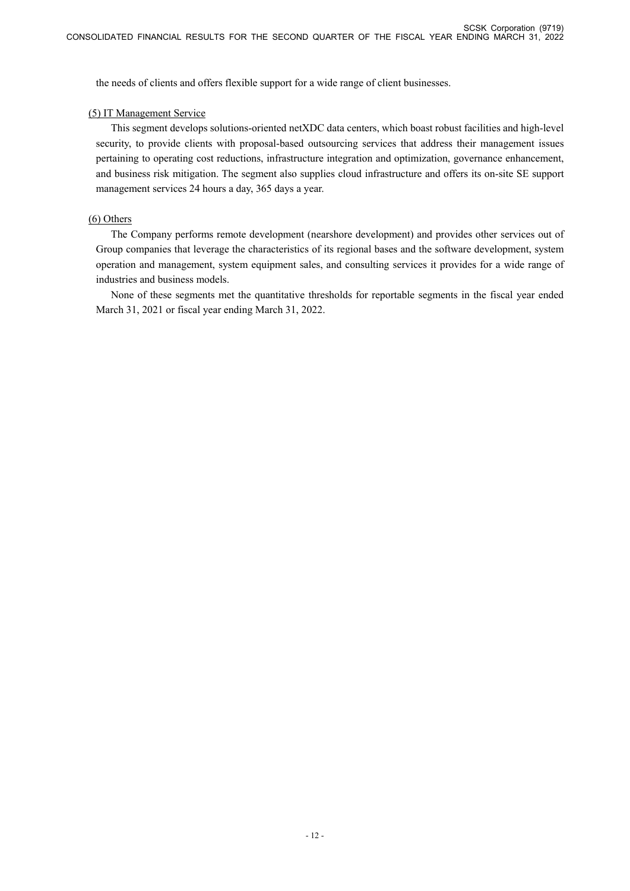the needs of clients and offers flexible support for a wide range of client businesses.

### (5) IT Management Service

This segment develops solutions-oriented netXDC data centers, which boast robust facilities and high-level security, to provide clients with proposal-based outsourcing services that address their management issues pertaining to operating cost reductions, infrastructure integration and optimization, governance enhancement, and business risk mitigation. The segment also supplies cloud infrastructure and offers its on-site SE support management services 24 hours a day, 365 days a year.

### (6) Others

The Company performs remote development (nearshore development) and provides other services out of Group companies that leverage the characteristics of its regional bases and the software development, system operation and management, system equipment sales, and consulting services it provides for a wide range of industries and business models.

None of these segments met the quantitative thresholds for reportable segments in the fiscal year ended March 31, 2021 or fiscal year ending March 31, 2022.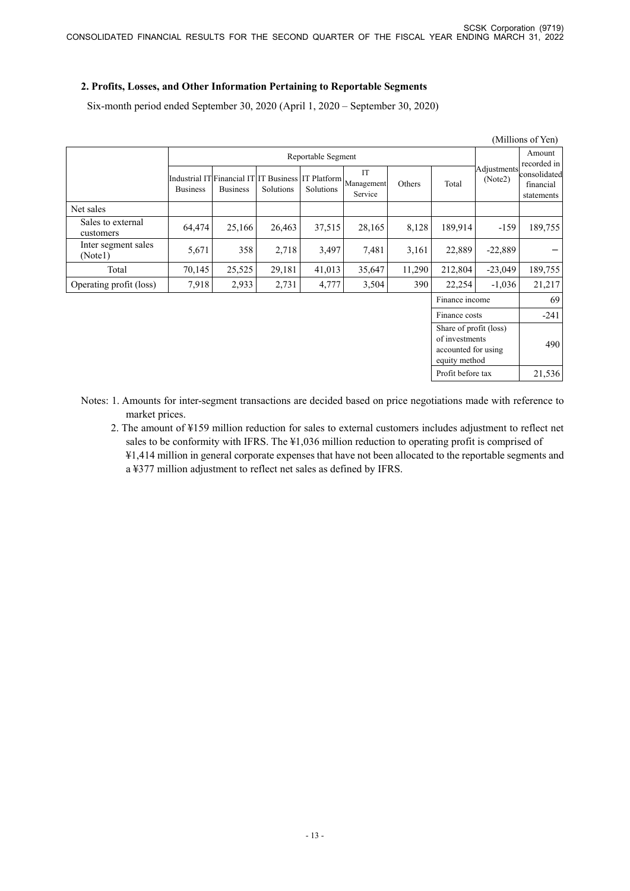## **2. Profits, Losses, and Other Information Pertaining to Reportable Segments**

Six-month period ended September 30, 2020 (April 1, 2020 – September 30, 2020)

|                                                                                  |                 |                                                                       |           |           |                             |        |                   |                        | (Millions of Yen)                       |
|----------------------------------------------------------------------------------|-----------------|-----------------------------------------------------------------------|-----------|-----------|-----------------------------|--------|-------------------|------------------------|-----------------------------------------|
|                                                                                  |                 | Reportable Segment                                                    |           |           |                             |        |                   |                        | Amount<br>recorded in                   |
|                                                                                  | <b>Business</b> | Industrial IT Financial IT IT Business IT Platform<br><b>Business</b> | Solutions | Solutions | IT<br>Management<br>Service | Others | Total             | Adjustments<br>(Note2) | consolidated<br>financial<br>statements |
| Net sales                                                                        |                 |                                                                       |           |           |                             |        |                   |                        |                                         |
| Sales to external<br>customers                                                   | 64,474          | 25,166                                                                | 26,463    | 37,515    | 28,165                      | 8,128  | 189,914           | $-159$                 | 189,755                                 |
| Inter segment sales<br>(Notel)                                                   | 5,671           | 358                                                                   | 2,718     | 3,497     | 7,481                       | 3,161  | 22,889            | $-22,889$              |                                         |
| Total                                                                            | 70,145          | 25,525                                                                | 29,181    | 41,013    | 35,647                      | 11,290 | 212,804           | $-23,049$              | 189,755                                 |
| Operating profit (loss)                                                          | 7,918           | 2,933                                                                 | 2,731     | 4,777     | 3,504                       | 390    | 22,254            | $-1,036$               | 21,217                                  |
|                                                                                  |                 |                                                                       |           |           |                             |        | Finance income    |                        | 69                                      |
| Finance costs                                                                    |                 |                                                                       |           |           |                             |        |                   |                        | $-241$                                  |
| Share of profit (loss)<br>of investments<br>accounted for using<br>equity method |                 |                                                                       |           |           |                             |        | 490               |                        |                                         |
|                                                                                  |                 |                                                                       |           |           |                             |        | Profit before tax |                        | 21,536                                  |

Notes: 1. Amounts for inter-segment transactions are decided based on price negotiations made with reference to market prices.

2. The amount of ¥159 million reduction for sales to external customers includes adjustment to reflect net sales to be conformity with IFRS. The ¥1,036 million reduction to operating profit is comprised of ¥1,414 million in general corporate expenses that have not been allocated to the reportable segments and a ¥377 million adjustment to reflect net sales as defined by IFRS.